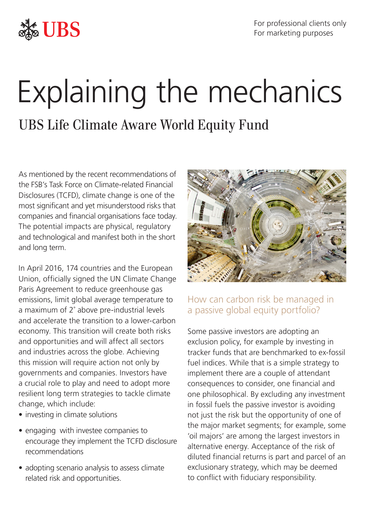

For professional clients only For marketing purposes

# Explaining the mechanics

UBS Life Climate Aware World Equity Fund

As mentioned by the recent recommendations of the FSB's Task Force on Climate-related Financial Disclosures (TCFD), climate change is one of the most significant and yet misunderstood risks that companies and financial organisations face today. The potential impacts are physical, regulatory and technological and manifest both in the short and long term.

In April 2016, 174 countries and the European Union, officially signed the UN Climate Change Paris Agreement to reduce greenhouse gas emissions, limit global average temperature to a maximum of 2˚ above pre-industrial levels and accelerate the transition to a lower-carbon economy. This transition will create both risks and opportunities and will affect all sectors and industries across the globe. Achieving this mission will require action not only by governments and companies. Investors have a crucial role to play and need to adopt more resilient long term strategies to tackle climate change, which include:

- investing in climate solutions
- engaging with investee companies to encourage they implement the TCFD disclosure recommendations
- adopting scenario analysis to assess climate related risk and opportunities.



# How can carbon risk be managed in a passive global equity portfolio?

Some passive investors are adopting an exclusion policy, for example by investing in tracker funds that are benchmarked to ex-fossil fuel indices. While that is a simple strategy to implement there are a couple of attendant consequences to consider, one financial and one philosophical. By excluding any investment in fossil fuels the passive investor is avoiding not just the risk but the opportunity of one of the major market segments; for example, some 'oil majors' are among the largest investors in alternative energy. Acceptance of the risk of diluted financial returns is part and parcel of an exclusionary strategy, which may be deemed to conflict with fiduciary responsibility.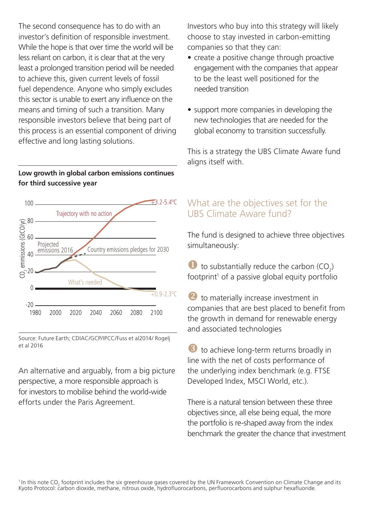The second consequence has to do with an investor's definition of responsible investment. While the hope is that over time the world will be less reliant on carbon, it is clear that at the very least a prolonged transition period will be needed to achieve this, given current levels of fossil fuel dependence. Anyone who simply excludes this sector is unable to exert any influence on the means and timing of such a transition. Many responsible investors believe that being part of this process is an essential component of driving effective and long lasting solutions.

## **Low growth in global carbon emissions continues for third successive year**



Source: Future Earth; CDIAC/GCP/IPCC/Fuss et al2014/ Rogelj et al 2016

An alternative and arguably, from a big picture perspective, a more responsible approach is for investors to mobilise behind the world-wide efforts under the Paris Agreement.

Investors who buy into this strategy will likely choose to stay invested in carbon-emitting companies so that they can:

- create a positive change through proactive engagement with the companies that appear to be the least well positioned for the needed transition
- support more companies in developing the new technologies that are needed for the global economy to transition successfully.

This is a strategy the UBS Climate Aware fund aligns itself with.

## What are the objectives set for the UBS Climate Aware fund?

The fund is designed to achieve three objectives simultaneously:

 $\bullet$  to substantially reduce the carbon (CO<sub>2</sub>) footprint<sup>1</sup> of a passive global equity portfolio

 to materially increase investment in companies that are best placed to benefit from the growth in demand for renewable energy and associated technologies

 to achieve long-term returns broadly in line with the net of costs performance of the underlying index benchmark (e.g. FTSE Developed Index, MSCI World, etc.).

There is a natural tension between these three objectives since, all else being equal, the more the portfolio is re-shaped away from the index benchmark the greater the chance that investment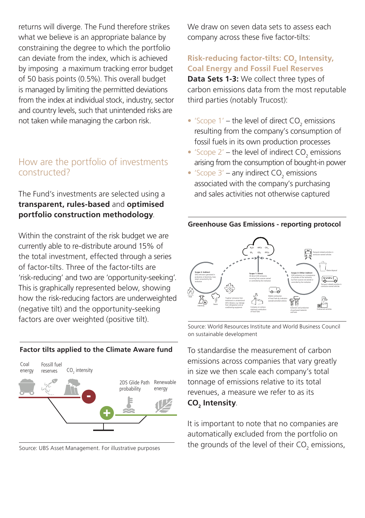returns will diverge. The Fund therefore strikes what we believe is an appropriate balance by constraining the degree to which the portfolio can deviate from the index, which is achieved by imposing a maximum tracking error budget of 50 basis points (0.5%). This overall budget is managed by limiting the permitted deviations from the index at individual stock, industry, sector and country levels, such that unintended risks are not taken while managing the carbon risk.

## How are the portfolio of investments constructed?

## The Fund's investments are selected using a **transparent, rules-based** and **optimised portfolio construction methodology**.

Within the constraint of the risk budget we are currently able to re-distribute around 15% of the total investment, effected through a series of factor-tilts. Three of the factor-tilts are 'risk-reducing' and two are 'opportunity-seeking'. This is graphically represented below, showing how the risk-reducing factors are underweighted (negative tilt) and the opportunity-seeking factors are over weighted (positive tilt).

#### **Factor tilts applied to the Climate Aware fund**



Source: UBS Asset Management. For illustrative purposes

We draw on seven data sets to assess each company across these five factor-tilts:

## **Risk-reducing factor-tilts: CO<sub>2</sub> Intensity, Coal Energy and Fossil Fuel Reserves**

**Data Sets 1-3:** We collect three types of carbon emissions data from the most reputable third parties (notably Trucost):

- 'Scope  $1'$  the level of direct  $CO_2$  emissions resulting from the company's consumption of fossil fuels in its own production processes
- 'Scope  $2'$  the level of indirect  $CO_2$  emissions arising from the consumption of bought-in power
- 'Scope  $3'$  any indirect  $CO_2$  emissions associated with the company's purchasing and sales activities not otherwise captured

#### **Greenhouse Gas Emissions - reporting protocol**



Source: World Resources Institute and World Business Council on sustainable development

To standardise the measurement of carbon emissions across companies that vary greatly in size we then scale each company's total tonnage of emissions relative to its total revenues, a measure we refer to as its **CO2 Intensity**.

It is important to note that no companies are automatically excluded from the portfolio on the grounds of the level of their  $\mathrm{CO}_2$  emissions,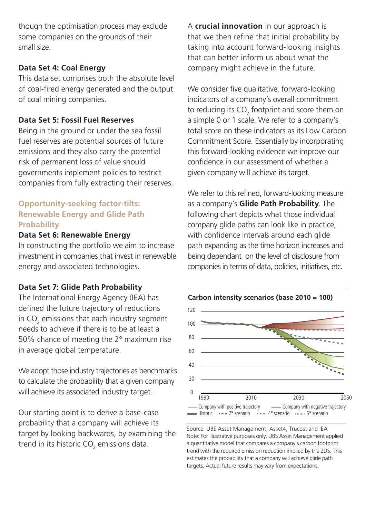though the optimisation process may exclude some companies on the grounds of their small size.

#### **Data Set 4: Coal Energy**

This data set comprises both the absolute level of coal-fired energy generated and the output of coal mining companies.

#### **Data Set 5: Fossil Fuel Reserves**

Being in the ground or under the sea fossil fuel reserves are potential sources of future emissions and they also carry the potential risk of permanent loss of value should governments implement policies to restrict companies from fully extracting their reserves.

## **Opportunity-seeking factor-tilts: Renewable Energy and Glide Path Probability**

### **Data Set 6: Renewable Energy**

In constructing the portfolio we aim to increase investment in companies that invest in renewable energy and associated technologies.

#### **Data Set 7: Glide Path Probability**

The International Energy Agency (IEA) has defined the future trajectory of reductions in CO $_{\textrm{\tiny{2}}}$  emissions that each industry segment needs to achieve if there is to be at least a 50% chance of meeting the 2° maximum rise in average global temperature.

We adopt those industry trajectories as benchmarks to calculate the probability that a given company will achieve its associated industry target.

Our starting point is to derive a base-case probability that a company will achieve its target by looking backwards, by examining the trend in its historic CO $_{\rm 2}$  emissions data.

A **crucial innovation** in our approach is that we then refine that initial probability by taking into account forward-looking insights that can better inform us about what the company might achieve in the future.

We consider five qualitative, forward-looking indicators of a company's overall commitment to reducing its  $\mathsf{CO}_2$  footprint and score them on a simple 0 or 1 scale. We refer to a company's total score on these indicators as its Low Carbon Commitment Score. Essentially by incorporating this forward-looking evidence we improve our confidence in our assessment of whether a given company will achieve its target

We refer to this refined, forward-looking measure as a company's **Glide Path Probability**. The following chart depicts what those individual company glide paths can look like in practice, with confidence intervals around each glide path expanding as the time horizon increases and being dependant on the level of disclosure from companies in terms of data, policies, initiatives, etc.



Source: UBS Asset Management, Asset4, Trucost and IEA Note: For illustrative purposes only. UBS Asset Management applied a quantitative model that compares a company's carbon footprint trend with the required emission reduction implied by the 2DS. This estimates the probability that a company will achieve glide path targets. Actual future results may vary from expectations.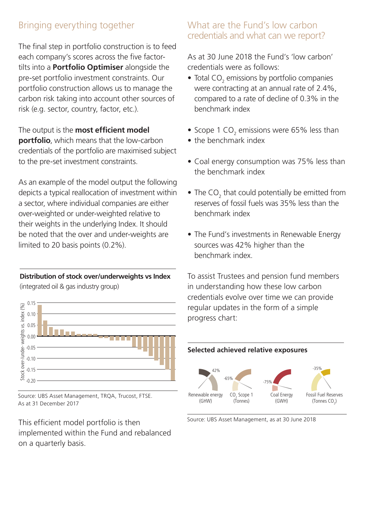# Bringing everything together

The final step in portfolio construction is to feed each company's scores across the five factortilts into a **Portfolio Optimiser** alongside the pre-set portfolio investment constraints. Our portfolio construction allows us to manage the carbon risk taking into account other sources of risk (e.g. sector, country, factor, etc.).

The output is the **most efficient model portfolio**, which means that the low-carbon credentials of the portfolio are maximised subject to the pre-set investment constraints.

As an example of the model output the following depicts a typical reallocation of investment within a sector, where individual companies are either over-weighted or under-weighted relative to their weights in the underlying Index. It should be noted that the over and under-weights are limited to 20 basis points (0.2%).

#### **Distribution of stock over/underweights vs Index**

(integrated oil & gas industry group)



Source: UBS Asset Management, TRQA, Trucost, FTSE. As at 31 December 2017

This efficient model portfolio is then implemented within the Fund and rebalanced on a quarterly basis.

## What are the Fund's low carbon credentials and what can we report?

As at 30 June 2018 the Fund's 'low carbon' credentials were as follows:

- $\bullet$  Total CO<sub>2</sub> emissions by portfolio companies were contracting at an annual rate of 2.4%, compared to a rate of decline of 0.3% in the benchmark index
- Scope 1  $CO<sub>2</sub>$  emissions were 65% less than
- the benchmark index
- Coal energy consumption was 75% less than the benchmark index
- The  $CO_2$  that could potentially be emitted from reserves of fossil fuels was 35% less than the benchmark index
- The Fund's investments in Renewable Energy sources was 42% higher than the benchmark index.

To assist Trustees and pension fund members in understanding how these low carbon credentials evolve over time we can provide regular updates in the form of a simple progress chart:



Source: UBS Asset Management, as at 30 June 2018